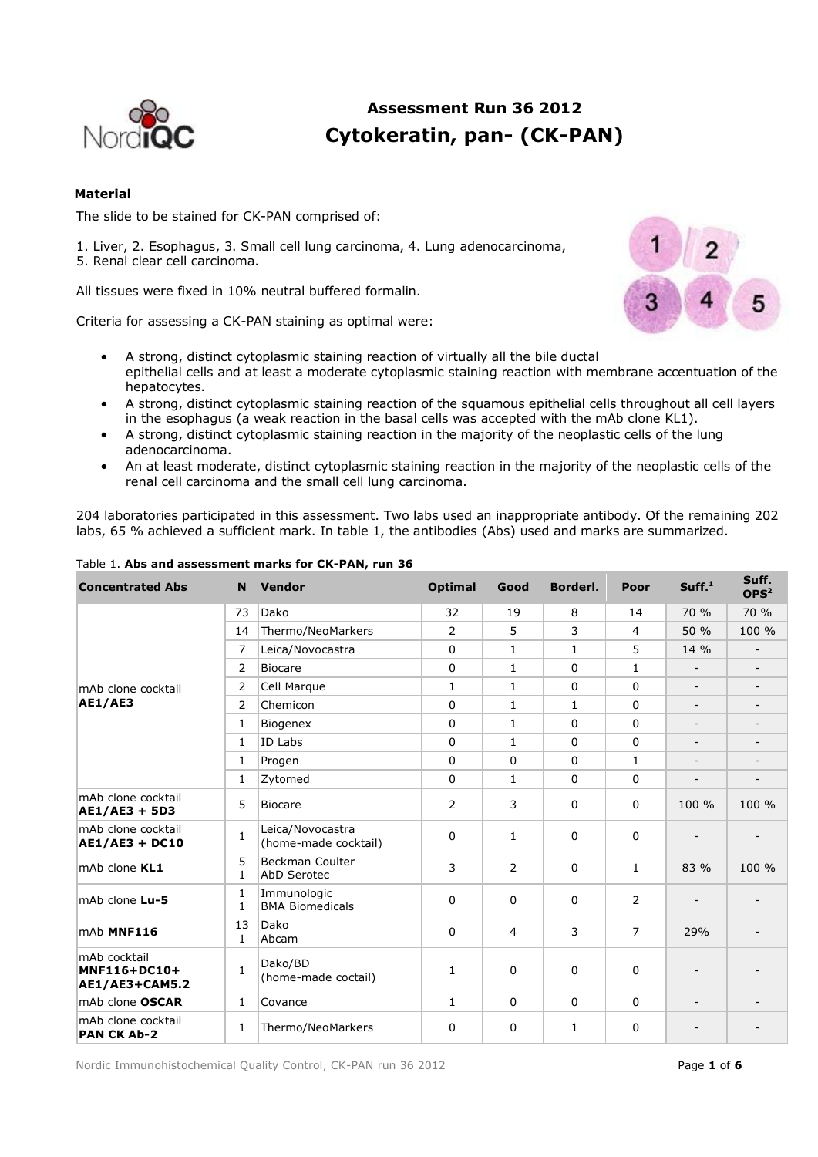

# **Assessment Run 36 2012 Cytokeratin, pan- (CK-PAN)**

# **Material**

The slide to be stained for CK-PAN comprised of:

1. Liver, 2. Esophagus, 3. Small cell lung carcinoma, 4. Lung adenocarcinoma, 5. Renal clear cell carcinoma.

All tissues were fixed in 10% neutral buffered formalin.

Criteria for assessing a CK-PAN staining as optimal were:



- A strong, distinct cytoplasmic staining reaction of virtually all the bile ductal epithelial cells and at least a moderate cytoplasmic staining reaction with membrane accentuation of the hepatocytes.
- A strong, distinct cytoplasmic staining reaction of the squamous epithelial cells throughout all cell layers in the esophagus (a weak reaction in the basal cells was accepted with the mAb clone KL1).
- A strong, distinct cytoplasmic staining reaction in the majority of the neoplastic cells of the lung adenocarcinoma.
- An at least moderate, distinct cytoplasmic staining reaction in the majority of the neoplastic cells of the renal cell carcinoma and the small cell lung carcinoma.

204 laboratories participated in this assessment. Two labs used an inappropriate antibody. Of the remaining 202 labs, 65 % achieved a sufficient mark. In table 1, the antibodies (Abs) used and marks are summarized.

| <b>Concentrated Abs</b><br>Vendor<br>N                |                    | <b>Optimal</b>                           | Good           | Borderl.       | Poor        | Suff. <sup>1</sup> | Suff.<br>OPS <sup>2</sup> |                          |
|-------------------------------------------------------|--------------------|------------------------------------------|----------------|----------------|-------------|--------------------|---------------------------|--------------------------|
|                                                       | 73                 | Dako                                     | 32             | 19             | 8           | 14                 | 70 %                      | 70 %                     |
|                                                       | 14                 | Thermo/NeoMarkers                        | 2              | 5              | 3           | $\overline{4}$     | 50 %                      | 100 %                    |
|                                                       | 7                  | Leica/Novocastra                         | $\Omega$       | $\mathbf{1}$   | 1           | 5                  | 14 %                      |                          |
|                                                       | 2                  | <b>Biocare</b>                           | 0              | $\mathbf{1}$   | 0           | $\mathbf{1}$       | $\blacksquare$            | $\overline{a}$           |
| mAb clone cocktail                                    | 2                  | Cell Marque                              | $\mathbf{1}$   | $\mathbf{1}$   | 0           | $\Omega$           | $\overline{\phantom{a}}$  | $\overline{\phantom{a}}$ |
| AE1/AE3                                               | 2                  | Chemicon                                 | 0              | $\mathbf{1}$   | 1           | $\Omega$           | $\overline{\phantom{a}}$  | $\overline{\phantom{a}}$ |
|                                                       | $\mathbf{1}$       | <b>Biogenex</b>                          | $\Omega$       | 1              | 0           | $\Omega$           | $\overline{\phantom{a}}$  | $\overline{\phantom{a}}$ |
|                                                       | 1                  | ID Labs                                  | 0              | 1              | 0           | $\Omega$           | $\overline{\phantom{a}}$  | $\overline{\phantom{a}}$ |
|                                                       | $\mathbf{1}$       | Progen                                   | 0              | 0              | 0           | $\mathbf{1}$       | $\overline{\phantom{a}}$  | $\overline{\phantom{a}}$ |
|                                                       | $\mathbf{1}$       | Zytomed                                  | $\Omega$       | $\mathbf{1}$   | $\Omega$    | $\Omega$           | $\overline{\phantom{a}}$  | $\overline{\phantom{a}}$ |
| mAb clone cocktail<br>AE1/AE3 + 5D3                   | 5                  | <b>Biocare</b>                           | $\overline{2}$ | 3              | 0           | $\Omega$           | 100 %                     | 100 %                    |
| mAb clone cocktail<br><b>AE1/AE3 + DC10</b>           | $\mathbf{1}$       | Leica/Novocastra<br>(home-made cocktail) | $\Omega$       | $\mathbf{1}$   | 0           | $\Omega$           |                           |                          |
| mAb clone KL1                                         | 5<br>$\mathbf{1}$  | Beckman Coulter<br>AbD Serotec           | 3              | $\overline{2}$ | 0           | $\mathbf{1}$       | 83 %                      | 100 %                    |
| mAb clone Lu-5                                        | 1<br>1             | Immunologic<br><b>BMA Biomedicals</b>    | $\Omega$       | 0              | 0           | 2                  |                           |                          |
| mAb MNF116                                            | 13<br>$\mathbf{1}$ | Dako<br>Abcam                            | $\Omega$       | 4              | 3           | $\overline{7}$     | 29%                       |                          |
| mAb cocktail<br>MNF116+DC10+<br><b>AE1/AE3+CAM5.2</b> | $\mathbf{1}$       | Dako/BD<br>(home-made coctail)           | $\mathbf{1}$   | 0              | $\mathbf 0$ | $\Omega$           |                           |                          |
| mAb clone OSCAR                                       | $\mathbf{1}$       | Covance                                  | $\mathbf{1}$   | 0              | 0           | $\Omega$           | $\overline{\phantom{a}}$  |                          |
| mAb clone cocktail<br><b>PAN CK Ab-2</b>              | 1                  | Thermo/NeoMarkers                        | $\mathbf 0$    | 0              | 1           | $\Omega$           |                           |                          |

Table 1. **Abs and assessment marks for CK-PAN, run 36**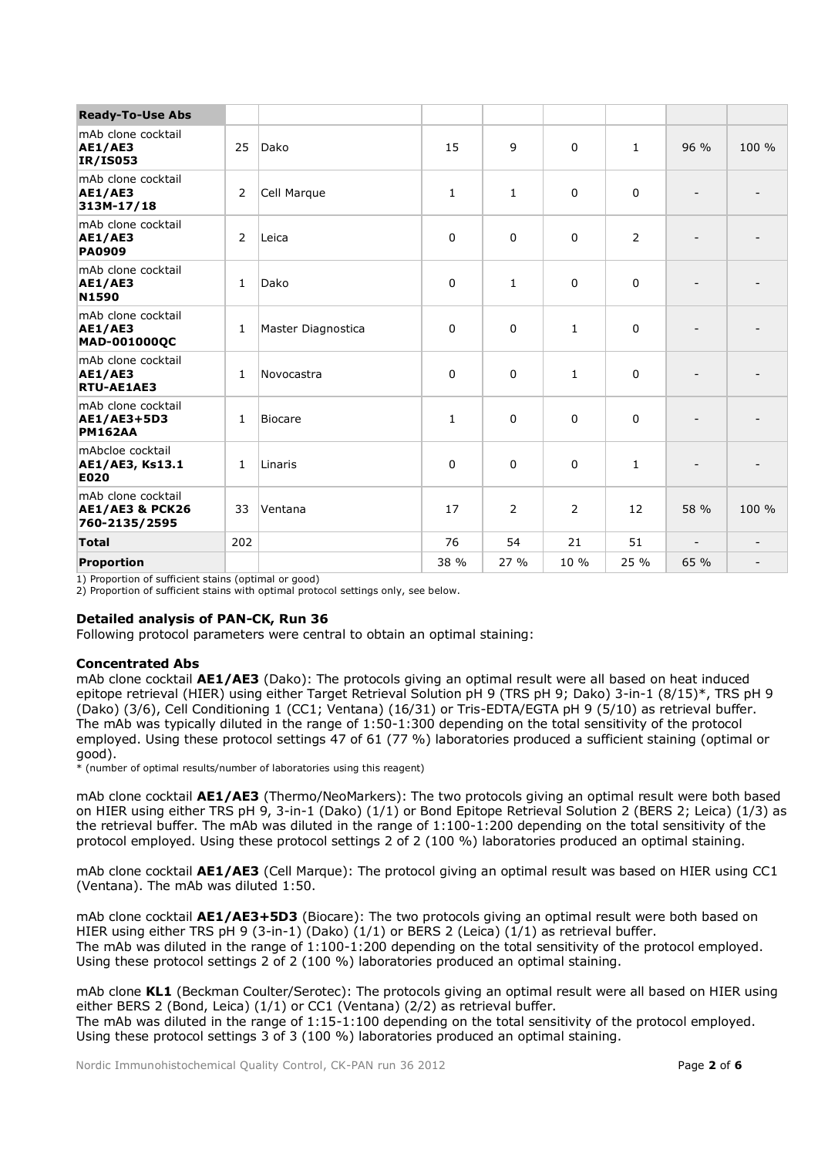| <b>Ready-To-Use Abs</b>                                     |                |                    |              |              |             |                |                          |                          |
|-------------------------------------------------------------|----------------|--------------------|--------------|--------------|-------------|----------------|--------------------------|--------------------------|
| mAb clone cocktail<br>AE1/AE3<br><b>IR/IS053</b>            | 25             | Dako               | 15           | 9            | $\mathbf 0$ | $\mathbf{1}$   | $96\%$                   | 100 %                    |
| mAb clone cocktail<br>AE1/AE3<br>313M-17/18                 | $\overline{2}$ | Cell Marque        | $\mathbf{1}$ | $\mathbf{1}$ | $\mathbf 0$ | $\Omega$       |                          |                          |
| mAb clone cocktail<br>AE1/AE3<br><b>PA0909</b>              | 2              | Leica              | $\mathbf 0$  | 0            | $\mathbf 0$ | $\overline{2}$ | $\overline{\phantom{0}}$ |                          |
| mAb clone cocktail<br><b>AE1/AE3</b><br><b>N1590</b>        | $\mathbf{1}$   | Dako               | $\mathbf 0$  | 1            | 0           | $\Omega$       |                          |                          |
| mAb clone cocktail<br><b>AE1/AE3</b><br><b>MAD-001000QC</b> | 1              | Master Diagnostica | 0            | 0            | 1           | $\mathbf 0$    |                          |                          |
| mAb clone cocktail<br><b>AE1/AE3</b><br>RTU-AE1AE3          | 1              | Novocastra         | $\mathbf 0$  | 0            | 1           | $\Omega$       |                          |                          |
| mAb clone cocktail<br>AE1/AE3+5D3<br><b>PM162AA</b>         | 1              | <b>Biocare</b>     | $\mathbf{1}$ | $\Omega$     | 0           | $\Omega$       |                          |                          |
| mAbcloe cocktail<br><b>AE1/AE3, Ks13.1</b><br>E020          | $\mathbf{1}$   | Linaris            | $\Omega$     | $\Omega$     | $\mathbf 0$ | $\mathbf{1}$   |                          |                          |
| mAb clone cocktail<br>AE1/AE3 & PCK26<br>760-2135/2595      | 33             | Ventana            | 17           | 2            | 2           | 12             | 58 %                     | 100 %                    |
| <b>Total</b>                                                | 202            |                    | 76           | 54           | 21          | 51             | $\overline{\phantom{a}}$ |                          |
| Proportion                                                  |                |                    | 38 %         | 27 %         | 10 %        | 25 %           | 65 %                     | $\overline{\phantom{0}}$ |

1) Proportion of sufficient stains (optimal or good)

2) Proportion of sufficient stains with optimal protocol settings only, see below.

## **Detailed analysis of PAN-CK, Run 36**

Following protocol parameters were central to obtain an optimal staining:

## **Concentrated Abs**

mAb clone cocktail **AE1/AE3** (Dako): The protocols giving an optimal result were all based on heat induced epitope retrieval (HIER) using either Target Retrieval Solution pH 9 (TRS pH 9; Dako) 3-in-1 (8/15)\*, TRS pH 9 (Dako) (3/6), Cell Conditioning 1 (CC1; Ventana) (16/31) or Tris-EDTA/EGTA pH 9 (5/10) as retrieval buffer. The mAb was typically diluted in the range of 1:50-1:300 depending on the total sensitivity of the protocol employed. Using these protocol settings 47 of 61 (77 %) laboratories produced a sufficient staining (optimal or good).

\* (number of optimal results/number of laboratories using this reagent)

mAb clone cocktail **AE1/AE3** (Thermo/NeoMarkers): The two protocols giving an optimal result were both based on HIER using either TRS pH 9, 3-in-1 (Dako) (1/1) or Bond Epitope Retrieval Solution 2 (BERS 2; Leica) (1/3) as the retrieval buffer. The mAb was diluted in the range of 1:100-1:200 depending on the total sensitivity of the protocol employed. Using these protocol settings 2 of 2 (100 %) laboratories produced an optimal staining.

mAb clone cocktail **AE1/AE3** (Cell Marque): The protocol giving an optimal result was based on HIER using CC1 (Ventana). The mAb was diluted 1:50.

mAb clone cocktail **AE1/AE3+5D3** (Biocare): The two protocols giving an optimal result were both based on HIER using either TRS pH 9 (3-in-1) (Dako) (1/1) or BERS 2 (Leica) (1/1) as retrieval buffer. The mAb was diluted in the range of 1:100-1:200 depending on the total sensitivity of the protocol employed. Using these protocol settings 2 of 2 (100 %) laboratories produced an optimal staining.

mAb clone **KL1** (Beckman Coulter/Serotec): The protocols giving an optimal result were all based on HIER using either BERS 2 (Bond, Leica) (1/1) or CC1 (Ventana) (2/2) as retrieval buffer. The mAb was diluted in the range of 1:15-1:100 depending on the total sensitivity of the protocol employed. Using these protocol settings 3 of 3 (100 %) laboratories produced an optimal staining.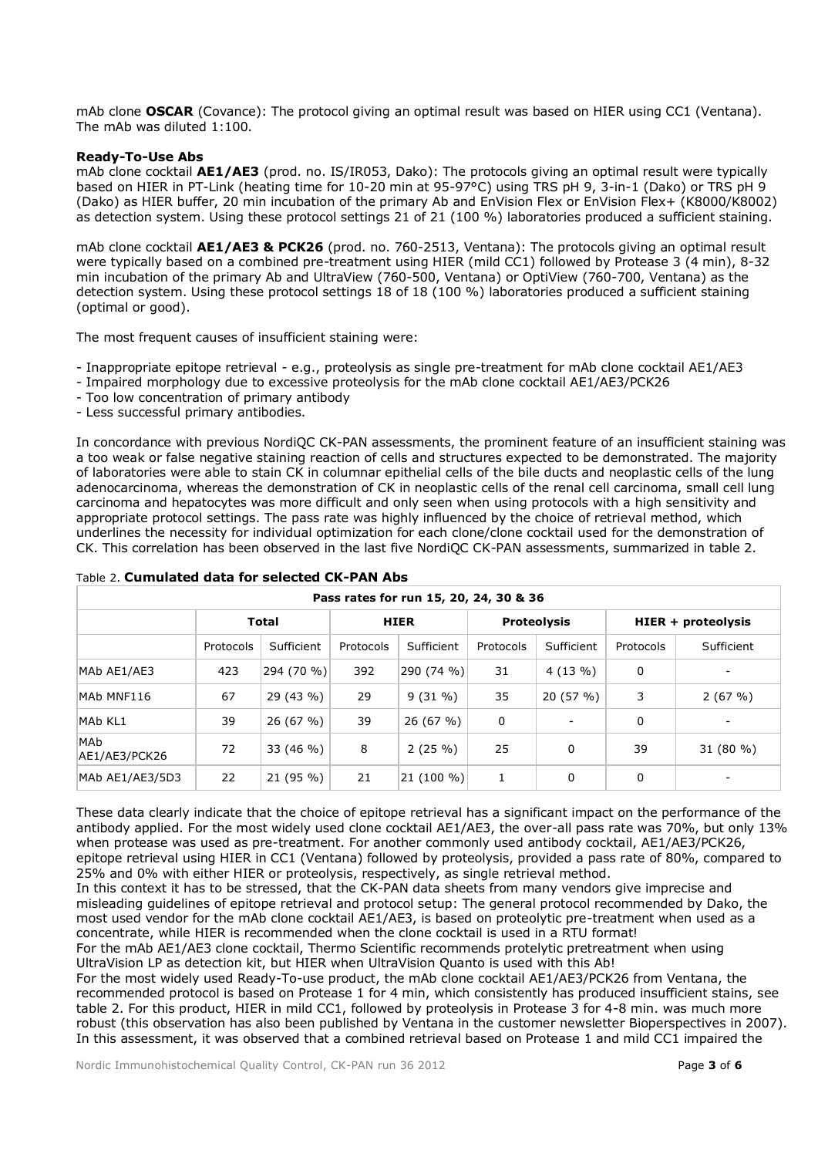mAb clone **OSCAR** (Covance): The protocol giving an optimal result was based on HIER using CC1 (Ventana). The mAb was diluted 1:100.

## **Ready-To-Use Abs**

mAb clone cocktail **AE1/AE3** (prod. no. IS/IR053, Dako): The protocols giving an optimal result were typically based on HIER in PT-Link (heating time for 10-20 min at 95-97°C) using TRS pH 9, 3-in-1 (Dako) or TRS pH 9 (Dako) as HIER buffer, 20 min incubation of the primary Ab and EnVision Flex or EnVision Flex+ (K8000/K8002) as detection system. Using these protocol settings 21 of 21 (100 %) laboratories produced a sufficient staining.

mAb clone cocktail **AE1/AE3 & PCK26** (prod. no. 760-2513, Ventana): The protocols giving an optimal result were typically based on a combined pre-treatment using HIER (mild CC1) followed by Protease 3 (4 min), 8-32 min incubation of the primary Ab and UltraView (760-500, Ventana) or OptiView (760-700, Ventana) as the detection system. Using these protocol settings 18 of 18 (100 %) laboratories produced a sufficient staining (optimal or good).

The most frequent causes of insufficient staining were:

- Inappropriate epitope retrieval e.g., proteolysis as single pre-treatment for mAb clone cocktail AE1/AE3
- Impaired morphology due to excessive proteolysis for the mAb clone cocktail AE1/AE3/PCK26
- Too low concentration of primary antibody
- Less successful primary antibodies.

In concordance with previous NordiQC CK-PAN assessments, the prominent feature of an insufficient staining was a too weak or false negative staining reaction of cells and structures expected to be demonstrated. The majority of laboratories were able to stain CK in columnar epithelial cells of the bile ducts and neoplastic cells of the lung adenocarcinoma, whereas the demonstration of CK in neoplastic cells of the renal cell carcinoma, small cell lung carcinoma and hepatocytes was more difficult and only seen when using protocols with a high sensitivity and appropriate protocol settings. The pass rate was highly influenced by the choice of retrieval method, which underlines the necessity for individual optimization for each clone/clone cocktail used for the demonstration of CK. This correlation has been observed in the last five NordiQC CK-PAN assessments, summarized in table 2.

| Pass rates for run 15, 20, 24, 30 & 36 |              |            |             |             |                         |           |                    |            |  |  |
|----------------------------------------|--------------|------------|-------------|-------------|-------------------------|-----------|--------------------|------------|--|--|
|                                        | <b>Total</b> |            | <b>HIER</b> |             | <b>Proteolysis</b>      |           | HIER + proteolysis |            |  |  |
|                                        | Protocols    | Sufficient | Protocols   | Sufficient  | Sufficient<br>Protocols |           | Protocols          | Sufficient |  |  |
| MAb AE1/AE3                            | 423          | 294 (70 %) | 392         | 290 (74 %)  | 31                      | $4(13\%)$ | 0                  |            |  |  |
| MAb MNF116                             | 67           | 29 (43 %)  | 29          | $9(31\%)$   | 35                      | 20 (57 %) | 3                  | 2(67%)     |  |  |
| MAb KL1                                | 39           | 26(67%)    | 39          | 26(67%)     | 0                       |           | 0                  |            |  |  |
| MAb<br>AE1/AE3/PCK26                   | 72           | 33 (46 %)  | 8           | 2(25%)      | 25                      | 0         | 39                 | 31 (80 %)  |  |  |
| MAb AE1/AE3/5D3                        | 22           | 21(95%)    | 21          | $21(100\%)$ |                         | 0         | 0                  |            |  |  |

## Table 2. **Cumulated data for selected CK-PAN Abs**

These data clearly indicate that the choice of epitope retrieval has a significant impact on the performance of the antibody applied. For the most widely used clone cocktail AE1/AE3, the over-all pass rate was 70%, but only 13% when protease was used as pre-treatment. For another commonly used antibody cocktail, AE1/AE3/PCK26, epitope retrieval using HIER in CC1 (Ventana) followed by proteolysis, provided a pass rate of 80%, compared to 25% and 0% with either HIER or proteolysis, respectively, as single retrieval method.

In this context it has to be stressed, that the CK-PAN data sheets from many vendors give imprecise and misleading guidelines of epitope retrieval and protocol setup: The general protocol recommended by Dako, the most used vendor for the mAb clone cocktail AE1/AE3, is based on proteolytic pre-treatment when used as a concentrate, while HIER is recommended when the clone cocktail is used in a RTU format!

For the mAb AE1/AE3 clone cocktail, Thermo Scientific recommends protelytic pretreatment when using UltraVision LP as detection kit, but HIER when UltraVision Quanto is used with this Ab!

For the most widely used Ready-To-use product, the mAb clone cocktail AE1/AE3/PCK26 from Ventana, the recommended protocol is based on Protease 1 for 4 min, which consistently has produced insufficient stains, see table 2. For this product, HIER in mild CC1, followed by proteolysis in Protease 3 for 4-8 min. was much more robust (this observation has also been published by Ventana in the customer newsletter Bioperspectives in 2007). In this assessment, it was observed that a combined retrieval based on Protease 1 and mild CC1 impaired the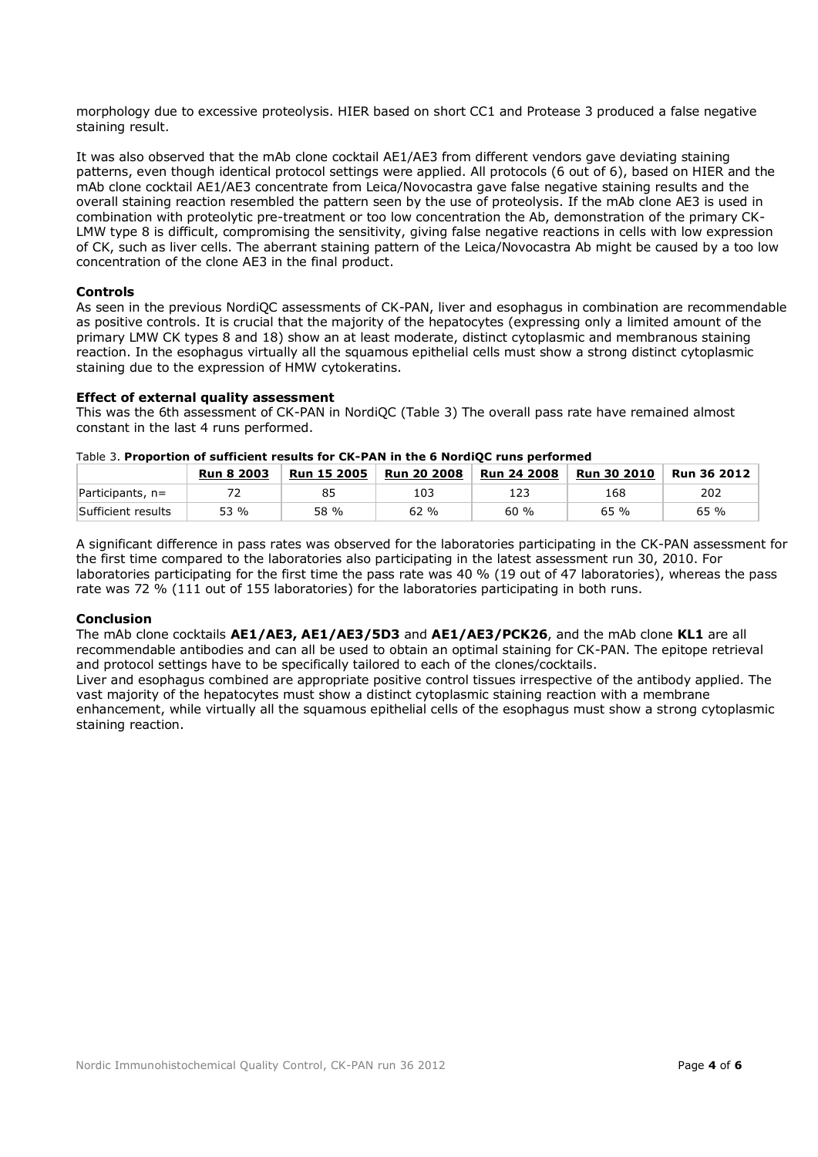morphology due to excessive proteolysis. HIER based on short CC1 and Protease 3 produced a false negative staining result.

It was also observed that the mAb clone cocktail AE1/AE3 from different vendors gave deviating staining patterns, even though identical protocol settings were applied. All protocols (6 out of 6), based on HIER and the mAb clone cocktail AE1/AE3 concentrate from Leica/Novocastra gave false negative staining results and the overall staining reaction resembled the pattern seen by the use of proteolysis. If the mAb clone AE3 is used in combination with proteolytic pre-treatment or too low concentration the Ab, demonstration of the primary CK-LMW type 8 is difficult, compromising the sensitivity, giving false negative reactions in cells with low expression of CK, such as liver cells. The aberrant staining pattern of the Leica/Novocastra Ab might be caused by a too low concentration of the clone AE3 in the final product.

## **Controls**

As seen in the previous NordiQC assessments of CK-PAN, liver and esophagus in combination are recommendable as positive controls. It is crucial that the majority of the hepatocytes (expressing only a limited amount of the primary LMW CK types 8 and 18) show an at least moderate, distinct cytoplasmic and membranous staining reaction. In the esophagus virtually all the squamous epithelial cells must show a strong distinct cytoplasmic staining due to the expression of HMW cytokeratins.

## **Effect of external quality assessment**

This was the 6th assessment of CK-PAN in NordiQC (Table 3) The overall pass rate have remained almost constant in the last 4 runs performed.

|  |  |  | Table 3. Proportion of sufficient results for CK-PAN in the 6 NordiQC runs performed |
|--|--|--|--------------------------------------------------------------------------------------|
|  |  |  |                                                                                      |

|                    | <b>Run 8 2003</b> | <b>Run 15 2005</b> | <b>Run 20 2008</b> | <b>Run 24 2008</b> | <b>Run 30 2010</b> | Run 36 2012 |
|--------------------|-------------------|--------------------|--------------------|--------------------|--------------------|-------------|
| $Participants, n=$ |                   | 85                 | 103                |                    | 168                | 202         |
| Sufficient results | 53 %              | 58 %               | 62%                | 60%                | 65 %               | 65 %        |

A significant difference in pass rates was observed for the laboratories participating in the CK-PAN assessment for the first time compared to the laboratories also participating in the latest assessment run 30, 2010. For laboratories participating for the first time the pass rate was 40 % (19 out of 47 laboratories), whereas the pass rate was 72 % (111 out of 155 laboratories) for the laboratories participating in both runs.

## **Conclusion**

The mAb clone cocktails **AE1/AE3, AE1/AE3/5D3** and **AE1/AE3/PCK26**, and the mAb clone **KL1** are all recommendable antibodies and can all be used to obtain an optimal staining for CK-PAN. The epitope retrieval and protocol settings have to be specifically tailored to each of the clones/cocktails. Liver and esophagus combined are appropriate positive control tissues irrespective of the antibody applied. The vast majority of the hepatocytes must show a distinct cytoplasmic staining reaction with a membrane enhancement, while virtually all the squamous epithelial cells of the esophagus must show a strong cytoplasmic staining reaction.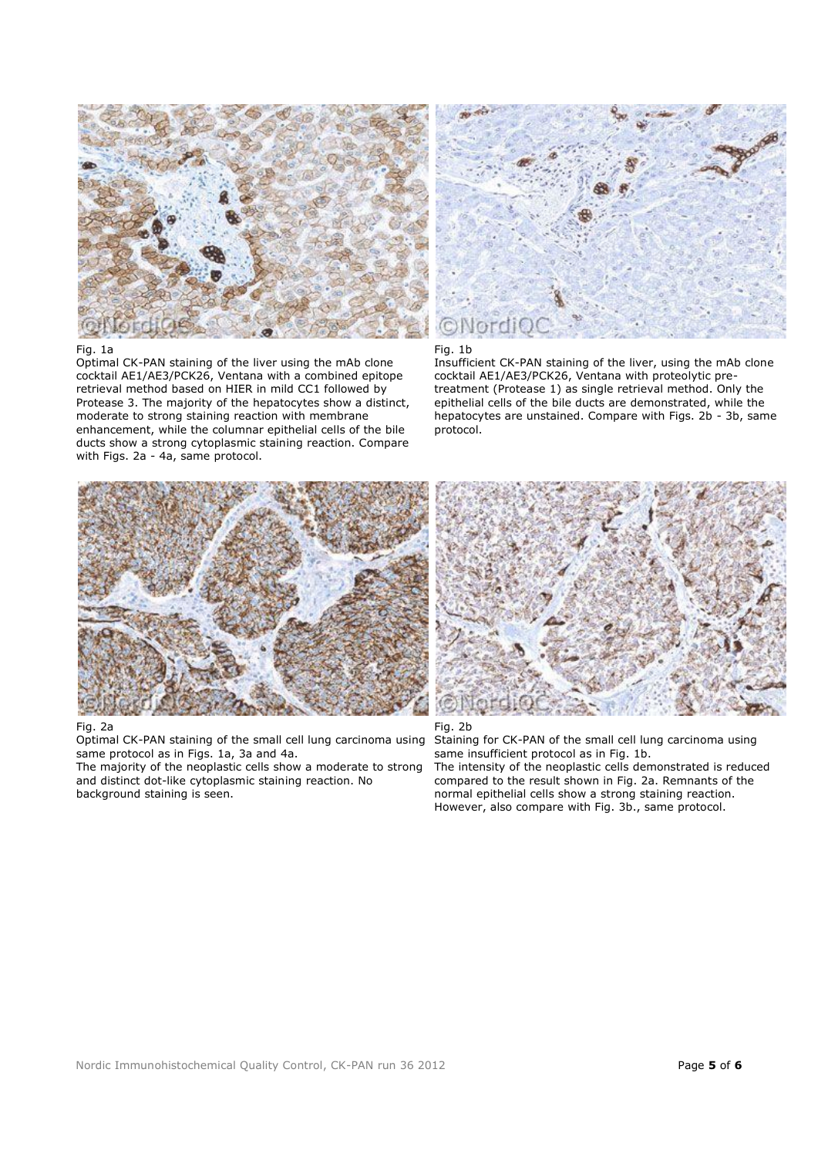

#### Fig. 1a

Optimal CK-PAN staining of the liver using the mAb clone cocktail AE1/AE3/PCK26, Ventana with a combined epitope retrieval method based on HIER in mild CC1 followed by Protease 3. The majority of the hepatocytes show a distinct, moderate to strong staining reaction with membrane enhancement, while the columnar epithelial cells of the bile ducts show a strong cytoplasmic staining reaction. Compare with Figs. 2a - 4a, same protocol.



Fig. 1b

Insufficient CK-PAN staining of the liver, using the mAb clone cocktail AE1/AE3/PCK26, Ventana with proteolytic pretreatment (Protease 1) as single retrieval method. Only the epithelial cells of the bile ducts are demonstrated, while the hepatocytes are unstained. Compare with Figs. 2b - 3b, same protocol.



## Fig. 2a

Optimal CK-PAN staining of the small cell lung carcinoma using same protocol as in Figs. 1a, 3a and 4a.

The majority of the neoplastic cells show a moderate to strong and distinct dot-like cytoplasmic staining reaction. No background staining is seen.



#### Fig. 2b

Staining for CK-PAN of the small cell lung carcinoma using same insufficient protocol as in Fig. 1b.

The intensity of the neoplastic cells demonstrated is reduced compared to the result shown in Fig. 2a. Remnants of the normal epithelial cells show a strong staining reaction. However, also compare with Fig. 3b., same protocol.